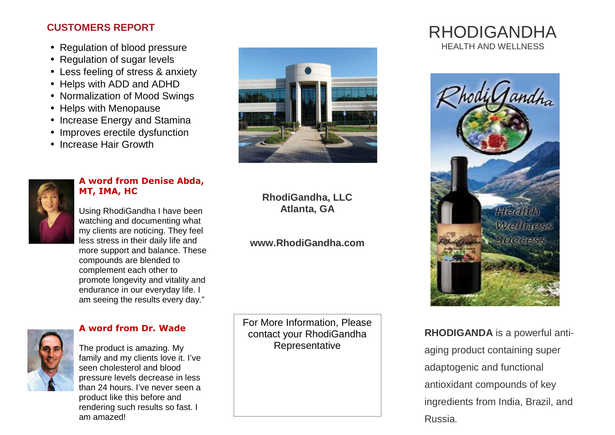## **CUSTOMERS REPORT**

- Regulation of blood pressure
- Regulation of sugar levels
- Less feeling of stress & anxiety
- Helps with ADD and ADHD
- Normalization of Mood Swings
- Helps with Menopause
- Increase Energy and Stamina
- Improves erectile dysfunction
- Increase Hair Growth



#### **A word from Denise Abda, MT, IMA, HC**

Using RhodiGandha I have been watching and documenting what my clients are noticing. They feel less stress in their daily life and more support and balance. These compounds are blended to complement each other to promote longevity and vitality and endurance in our everyday life. I am seeing the results every day."



#### **A word from Dr. Wade**





## **RhodiGandha, LLC Atlanta, GA**

## **www.RhodiGandha.com**

For More Information, Please contact your RhodiGandha Representative

# RHODIGANDHAHEALTH AND WELLNESS



**RHODIGANDA** is a powerful antiaging product containing super adaptogenic and functional antioxidant compounds of key ingredients from India, Brazil, and Russia.